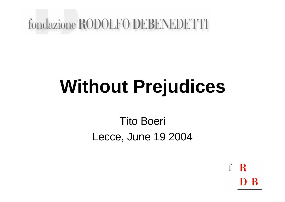#### fondazione RODOLFO DEBENEDETTI

# **Without Prejudices**

#### Tito Boeri Lecce, June 19 2004

 $\mathbf R$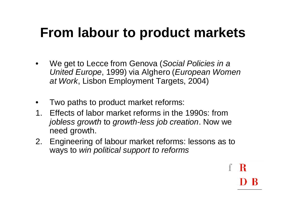# **From labour to product markets**

- We get to Lecce from Genova (*Social Policies in a United Europe*, 1999) via Alghero (*European Women at Work*, Lisbon Employment Targets, 2004)
- Two paths to product market reforms:
- 1. Effects of labor market reforms in the 1990s: from *jobless growth* to *growth-less job creation*. Now we need growth.
- 2. Engineering of labour market reforms: lessons as to ways to *win political support to reforms*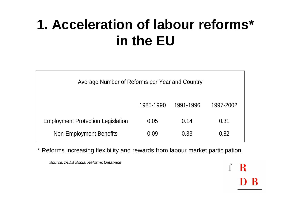# **1. Acceleration of labour reforms\* in the EU**

| Average Number of Reforms per Year and Country |           |           |           |
|------------------------------------------------|-----------|-----------|-----------|
|                                                | 1985-1990 | 1991-1996 | 1997-2002 |
| <b>Employment Protection Legislation</b>       | 0.05      | 0.14      | 0.31      |
| <b>Non-Employment Benefits</b>                 | 0.09      | 0.33      | 0.82      |

\* Reforms increasing flexibility and rewards from labour market participation.

 $\mathbf R$ 

*Source: fRDB Social Reforms Database*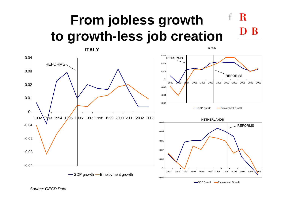#### **From jobless growth to growth-less job creation**



**SPAIN**

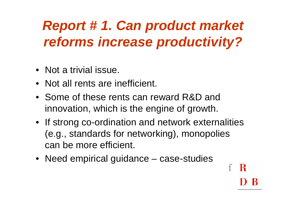# *Report # 1. Can product market reforms increase productivity?*

- Not a trivial issue.
- Not all rents are inefficient.
- Some of these rents can reward R&D and innovation, which is the engine of growth.
- If strong co-ordination and network externalities (e.g., standards for networking), monopolies can be more efficient.
- Need empirical guidance case-studies

R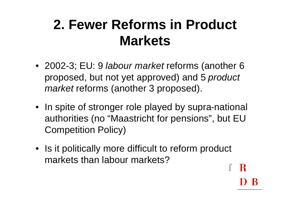# **2. Fewer Reforms in Product Markets**

- 2002-3; EU: 9 *labour market* reforms (another 6 proposed, but not yet approved) and 5 *product market* reforms (another 3 proposed).
- In spite of stronger role played by supra-national authorities (no "Maastricht for pensions", but EU Competition Policy)
- Is it politically more difficult to reform product markets than labour markets?

R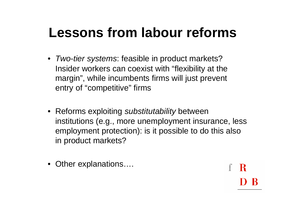# **Lessons from labour reforms**

- *Two-tier systems*: feasible in product markets? Insider workers can coexist with "flexibility at the margin", while incumbents firms will just prevent entry of "competitive" firms
- Reforms exploiting *substitutability* between institutions (e.g., more unemployment insurance, less employment protection): is it possible to do this also in product markets?

R

• Other explanations....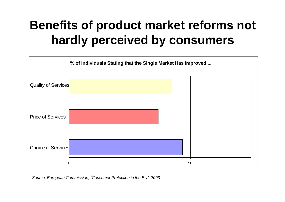#### **Benefits of product market reforms not hardly perceived by consumers**



*Source: European Commission, "Consumer Protection in the EU", 2003*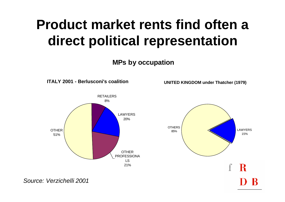# **Product market rents find often a direct political representation**

**MPs by occupation**



*Source: Verzichelli 2001*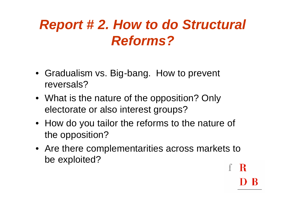## *Report # 2. How to do Structural Reforms?*

- Gradualism vs. Big-bang. How to prevent reversals?
- What is the nature of the opposition? Only electorate or also interest groups?
- How do you tailor the reforms to the nature of the opposition?
- Are there complementarities across markets to be exploited?R